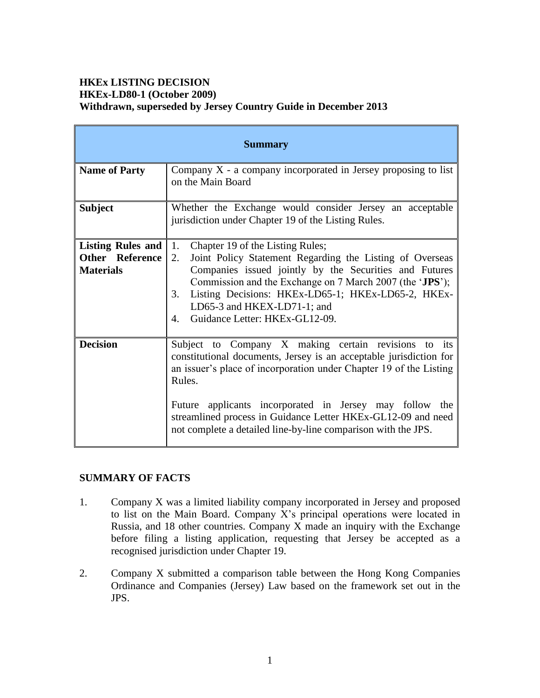## **HKEx LISTING DECISION HKEx-LD80-1 (October 2009) Withdrawn, superseded by Jersey Country Guide in December 2013**

| <b>Summary</b>                                                  |                                                                                                                                                                                                                                                                                                                                                                                                           |
|-----------------------------------------------------------------|-----------------------------------------------------------------------------------------------------------------------------------------------------------------------------------------------------------------------------------------------------------------------------------------------------------------------------------------------------------------------------------------------------------|
| <b>Name of Party</b>                                            | Company $X$ - a company incorporated in Jersey proposing to list<br>on the Main Board                                                                                                                                                                                                                                                                                                                     |
| <b>Subject</b>                                                  | Whether the Exchange would consider Jersey an acceptable<br>jurisdiction under Chapter 19 of the Listing Rules.                                                                                                                                                                                                                                                                                           |
| Listing Rules and<br><b>Other Reference</b><br><b>Materials</b> | 1.<br>Chapter 19 of the Listing Rules;<br>2.<br>Joint Policy Statement Regarding the Listing of Overseas<br>Companies issued jointly by the Securities and Futures<br>Commission and the Exchange on 7 March 2007 (the 'JPS');<br>Listing Decisions: HKEx-LD65-1; HKEx-LD65-2, HKEx-<br>3.<br>LD65-3 and HKEX-LD71-1; and<br>Guidance Letter: HKEx-GL12-09.<br>4.                                         |
| <b>Decision</b>                                                 | Subject to Company X making certain revisions to<br>its<br>constitutional documents, Jersey is an acceptable jurisdiction for<br>an issuer's place of incorporation under Chapter 19 of the Listing<br>Rules.<br>Future applicants incorporated in Jersey may follow the<br>streamlined process in Guidance Letter HKEx-GL12-09 and need<br>not complete a detailed line-by-line comparison with the JPS. |

# **SUMMARY OF FACTS**

- 1. Company X was a limited liability company incorporated in Jersey and proposed to list on the Main Board. Company X's principal operations were located in Russia, and 18 other countries. Company  $\overline{X}$  made an inquiry with the Exchange before filing a listing application, requesting that Jersey be accepted as a recognised jurisdiction under Chapter 19.
- 2. Company X submitted a comparison table between the Hong Kong Companies Ordinance and Companies (Jersey) Law based on the framework set out in the JPS.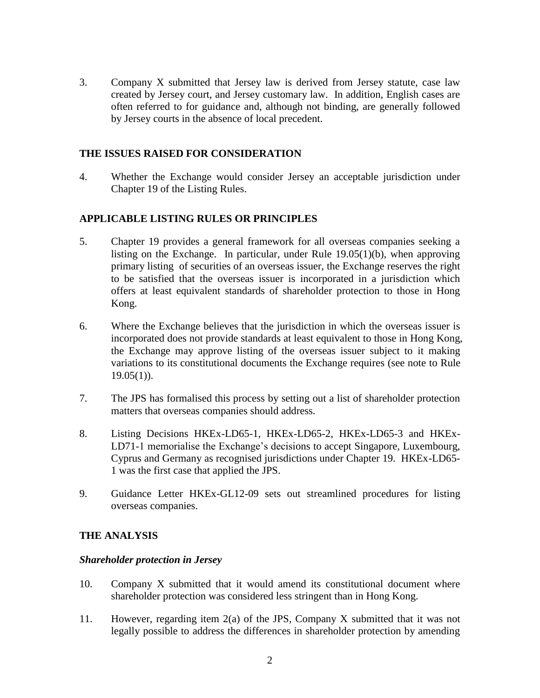3. Company X submitted that Jersey law is derived from Jersey statute, case law created by Jersey court, and Jersey customary law. In addition, English cases are often referred to for guidance and, although not binding, are generally followed by Jersey courts in the absence of local precedent.

#### **THE ISSUES RAISED FOR CONSIDERATION**

4. Whether the Exchange would consider Jersey an acceptable jurisdiction under Chapter 19 of the Listing Rules.

### **APPLICABLE LISTING RULES OR PRINCIPLES**

- 5. Chapter 19 provides a general framework for all overseas companies seeking a listing on the Exchange. In particular, under Rule 19.05(1)(b), when approving primary listing of securities of an overseas issuer, the Exchange reserves the right to be satisfied that the overseas issuer is incorporated in a jurisdiction which offers at least equivalent standards of shareholder protection to those in Hong Kong.
- 6. Where the Exchange believes that the jurisdiction in which the overseas issuer is incorporated does not provide standards at least equivalent to those in Hong Kong, the Exchange may approve listing of the overseas issuer subject to it making variations to its constitutional documents the Exchange requires (see note to Rule  $19.05(1)$ .
- 7. The JPS has formalised this process by setting out a list of shareholder protection matters that overseas companies should address.
- 8. Listing Decisions HKEx-LD65-1, HKEx-LD65-2, HKEx-LD65-3 and HKEx-LD71-1 memorialise the Exchange's decisions to accept Singapore, Luxembourg, Cyprus and Germany as recognised jurisdictions under Chapter 19. HKEx-LD65- 1 was the first case that applied the JPS.
- 9. Guidance Letter HKEx-GL12-09 sets out streamlined procedures for listing overseas companies.

#### **THE ANALYSIS**

#### *Shareholder protection in Jersey*

- 10. Company X submitted that it would amend its constitutional document where shareholder protection was considered less stringent than in Hong Kong.
- 11. However, regarding item 2(a) of the JPS, Company X submitted that it was not legally possible to address the differences in shareholder protection by amending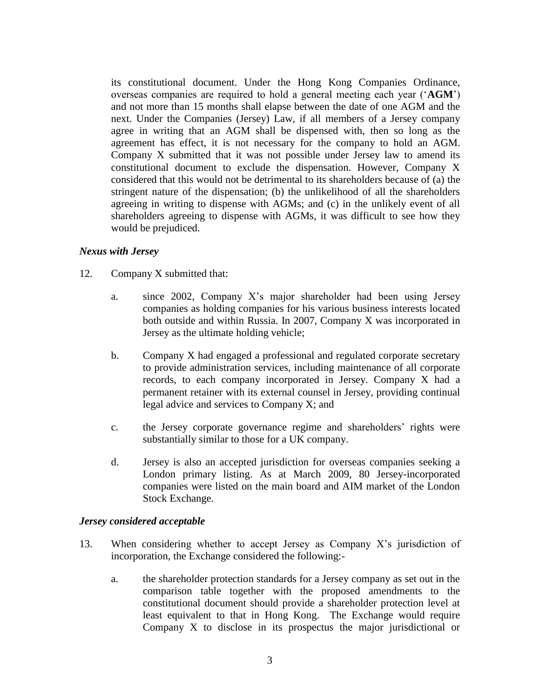its constitutional document. Under the Hong Kong Companies Ordinance, overseas companies are required to hold a general meeting each year ('**AGM**') and not more than 15 months shall elapse between the date of one AGM and the next. Under the Companies (Jersey) Law, if all members of a Jersey company agree in writing that an AGM shall be dispensed with, then so long as the agreement has effect, it is not necessary for the company to hold an AGM. Company X submitted that it was not possible under Jersey law to amend its constitutional document to exclude the dispensation. However, Company X considered that this would not be detrimental to its shareholders because of (a) the stringent nature of the dispensation; (b) the unlikelihood of all the shareholders agreeing in writing to dispense with AGMs; and (c) in the unlikely event of all shareholders agreeing to dispense with AGMs, it was difficult to see how they would be prejudiced.

#### *Nexus with Jersey*

- 12. Company X submitted that:
	- a. since 2002, Company X's major shareholder had been using Jersey companies as holding companies for his various business interests located both outside and within Russia. In 2007, Company X was incorporated in Jersey as the ultimate holding vehicle;
	- b. Company X had engaged a professional and regulated corporate secretary to provide administration services, including maintenance of all corporate records, to each company incorporated in Jersey. Company X had a permanent retainer with its external counsel in Jersey, providing continual legal advice and services to Company X; and
	- c. the Jersey corporate governance regime and shareholders' rights were substantially similar to those for a UK company.
	- d. Jersey is also an accepted jurisdiction for overseas companies seeking a London primary listing. As at March 2009, 80 Jersey-incorporated companies were listed on the main board and AIM market of the London Stock Exchange.

#### *Jersey considered acceptable*

- 13. When considering whether to accept Jersey as Company X's jurisdiction of incorporation, the Exchange considered the following:
	- a. the shareholder protection standards for a Jersey company as set out in the comparison table together with the proposed amendments to the constitutional document should provide a shareholder protection level at least equivalent to that in Hong Kong. The Exchange would require Company X to disclose in its prospectus the major jurisdictional or